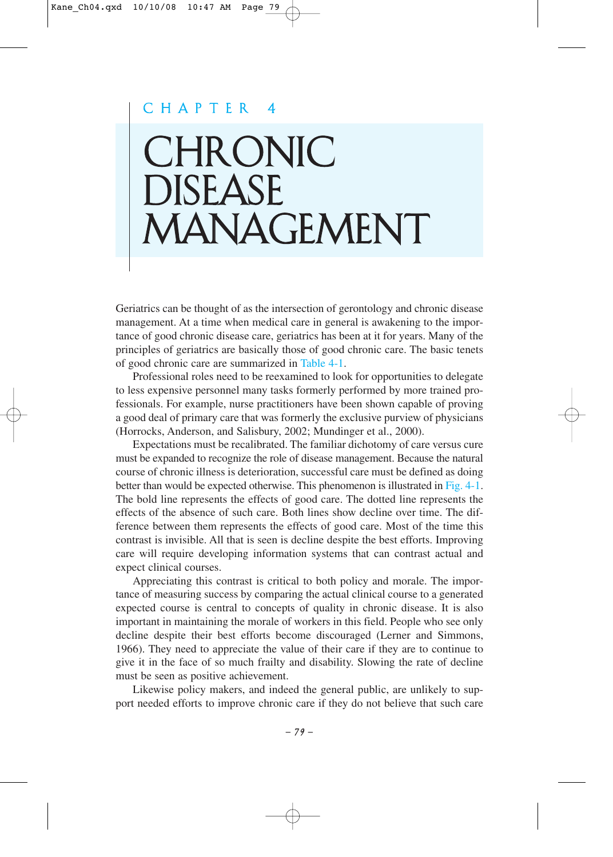# C H A P T E R 4

# CHRONIC<br>DISEASE MANAGEMENT

Geriatrics can be thought of as the intersection of gerontology and chronic disease management. At a time when medical care in general is awakening to the importance of good chronic disease care, geriatrics has been at it for years. Many of the principles of geriatrics are basically those of good chronic care. The basic tenets of good chronic care are summarized in Table 4-1.

Professional roles need to be reexamined to look for opportunities to delegate to less expensive personnel many tasks formerly performed by more trained professionals. For example, nurse practitioners have been shown capable of proving a good deal of primary care that was formerly the exclusive purview of physicians (Horrocks, Anderson, and Salisbury, 2002; Mundinger et al., 2000).

Expectations must be recalibrated. The familiar dichotomy of care versus cure must be expanded to recognize the role of disease management. Because the natural course of chronic illness is deterioration, successful care must be defined as doing better than would be expected otherwise. This phenomenon is illustrated in Fig. 4-1. The bold line represents the effects of good care. The dotted line represents the effects of the absence of such care. Both lines show decline over time. The difference between them represents the effects of good care. Most of the time this contrast is invisible. All that is seen is decline despite the best efforts. Improving care will require developing information systems that can contrast actual and expect clinical courses.

Appreciating this contrast is critical to both policy and morale. The importance of measuring success by comparing the actual clinical course to a generated expected course is central to concepts of quality in chronic disease. It is also important in maintaining the morale of workers in this field. People who see only decline despite their best efforts become discouraged (Lerner and Simmons, 1966). They need to appreciate the value of their care if they are to continue to give it in the face of so much frailty and disability. Slowing the rate of decline must be seen as positive achievement.

Likewise policy makers, and indeed the general public, are unlikely to support needed efforts to improve chronic care if they do not believe that such care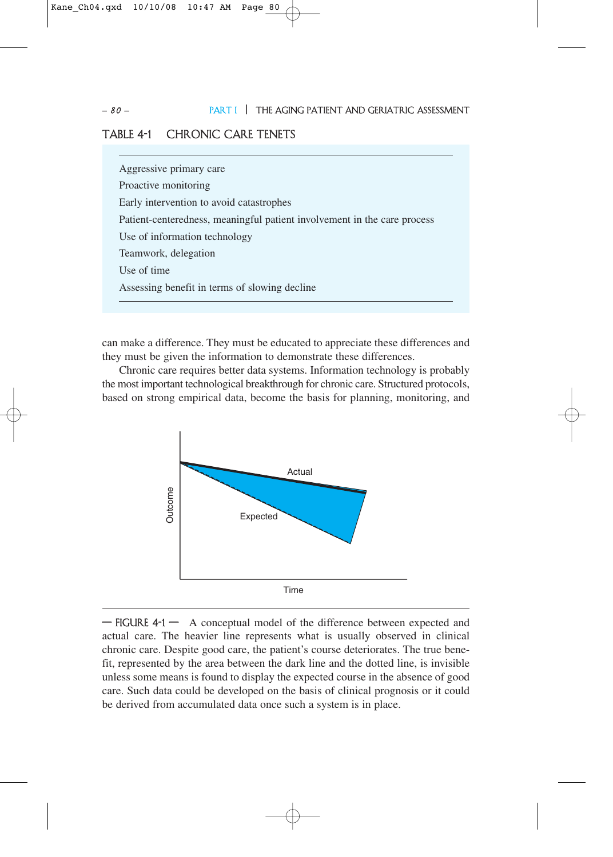- 80 - PART I THE AGING PATIENT AND GERIATRIC ASSESSMENT

# Table 4-1 CHRONIC CARE TENETS

| Aggressive primary care                                                  |
|--------------------------------------------------------------------------|
| Proactive monitoring                                                     |
| Early intervention to avoid catastrophes                                 |
| Patient-centeredness, meaningful patient involvement in the care process |
| Use of information technology                                            |
| Teamwork, delegation                                                     |
| Use of time                                                              |
| Assessing benefit in terms of slowing decline.                           |
|                                                                          |

can make a difference. They must be educated to appreciate these differences and they must be given the information to demonstrate these differences.

Chronic care requires better data systems. Information technology is probably the most important technological breakthrough for chronic care. Structured protocols, based on strong empirical data, become the basis for planning, monitoring, and



 $-$  FIGURE 4-1  $-$  A conceptual model of the difference between expected and actual care. The heavier line represents what is usually observed in clinical chronic care. Despite good care, the patient's course deteriorates. The true benefit, represented by the area between the dark line and the dotted line, is invisible unless some means is found to display the expected course in the absence of good care. Such data could be developed on the basis of clinical prognosis or it could be derived from accumulated data once such a system is in place.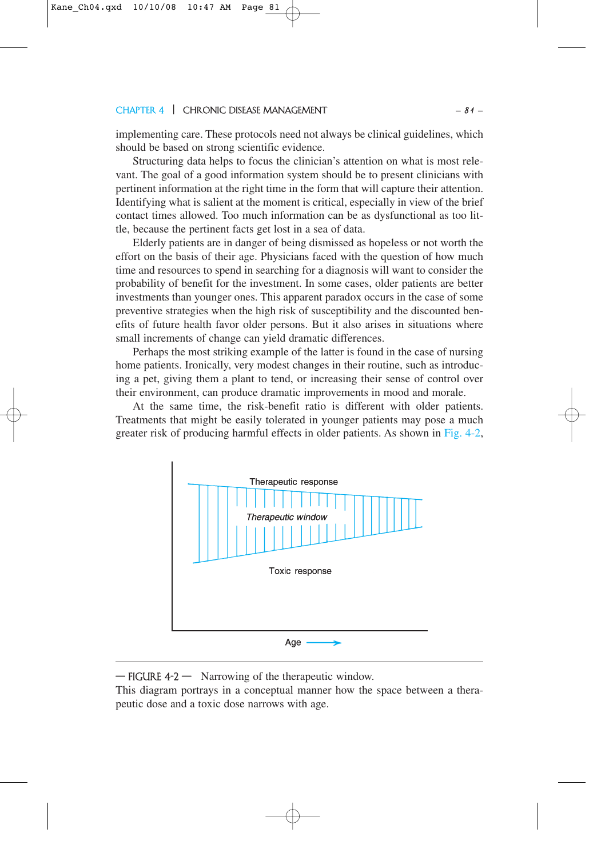#### chapter 4 - CHRONIC DISEASE MANAGEMENT – *8 1* –

implementing care. These protocols need not always be clinical guidelines, which should be based on strong scientific evidence.

Structuring data helps to focus the clinician's attention on what is most relevant. The goal of a good information system should be to present clinicians with pertinent information at the right time in the form that will capture their attention. Identifying what is salient at the moment is critical, especially in view of the brief contact times allowed. Too much information can be as dysfunctional as too little, because the pertinent facts get lost in a sea of data.

Elderly patients are in danger of being dismissed as hopeless or not worth the effort on the basis of their age. Physicians faced with the question of how much time and resources to spend in searching for a diagnosis will want to consider the probability of benefit for the investment. In some cases, older patients are better investments than younger ones. This apparent paradox occurs in the case of some preventive strategies when the high risk of susceptibility and the discounted benefits of future health favor older persons. But it also arises in situations where small increments of change can yield dramatic differences.

Perhaps the most striking example of the latter is found in the case of nursing home patients. Ironically, very modest changes in their routine, such as introducing a pet, giving them a plant to tend, or increasing their sense of control over their environment, can produce dramatic improvements in mood and morale.

At the same time, the risk-benefit ratio is different with older patients. Treatments that might be easily tolerated in younger patients may pose a much greater risk of producing harmful effects in older patients. As shown in Fig. 4-2,



 $-$  FIGURE 4-2  $-$  Narrowing of the therapeutic window.

This diagram portrays in a conceptual manner how the space between a therapeutic dose and a toxic dose narrows with age.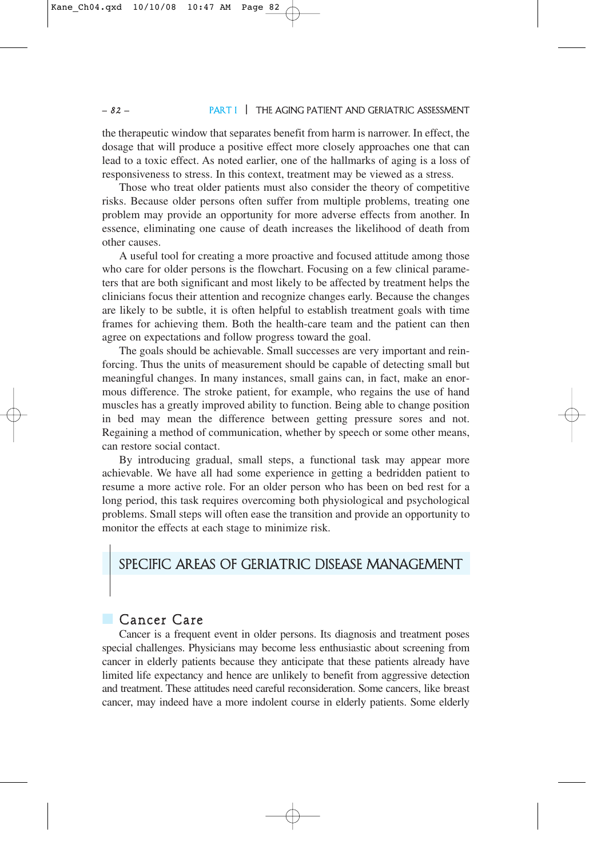#### - 82 - PART I THE AGING PATIENT AND GERIATRIC ASSESSMENT

the therapeutic window that separates benefit from harm is narrower. In effect, the dosage that will produce a positive effect more closely approaches one that can lead to a toxic effect. As noted earlier, one of the hallmarks of aging is a loss of responsiveness to stress. In this context, treatment may be viewed as a stress.

Those who treat older patients must also consider the theory of competitive risks. Because older persons often suffer from multiple problems, treating one problem may provide an opportunity for more adverse effects from another. In essence, eliminating one cause of death increases the likelihood of death from other causes.

A useful tool for creating a more proactive and focused attitude among those who care for older persons is the flowchart. Focusing on a few clinical parameters that are both significant and most likely to be affected by treatment helps the clinicians focus their attention and recognize changes early. Because the changes are likely to be subtle, it is often helpful to establish treatment goals with time frames for achieving them. Both the health-care team and the patient can then agree on expectations and follow progress toward the goal.

The goals should be achievable. Small successes are very important and reinforcing. Thus the units of measurement should be capable of detecting small but meaningful changes. In many instances, small gains can, in fact, make an enormous difference. The stroke patient, for example, who regains the use of hand muscles has a greatly improved ability to function. Being able to change position in bed may mean the difference between getting pressure sores and not. Regaining a method of communication, whether by speech or some other means, can restore social contact.

By introducing gradual, small steps, a functional task may appear more achievable. We have all had some experience in getting a bedridden patient to resume a more active role. For an older person who has been on bed rest for a long period, this task requires overcoming both physiological and psychological problems. Small steps will often ease the transition and provide an opportunity to monitor the effects at each stage to minimize risk.

# SPECIFIC AREAS OF GERIATRIC DISEASE MANAGEMENT

# ■ Cancer Care

Cancer is a frequent event in older persons. Its diagnosis and treatment poses special challenges. Physicians may become less enthusiastic about screening from cancer in elderly patients because they anticipate that these patients already have limited life expectancy and hence are unlikely to benefit from aggressive detection and treatment. These attitudes need careful reconsideration. Some cancers, like breast cancer, may indeed have a more indolent course in elderly patients. Some elderly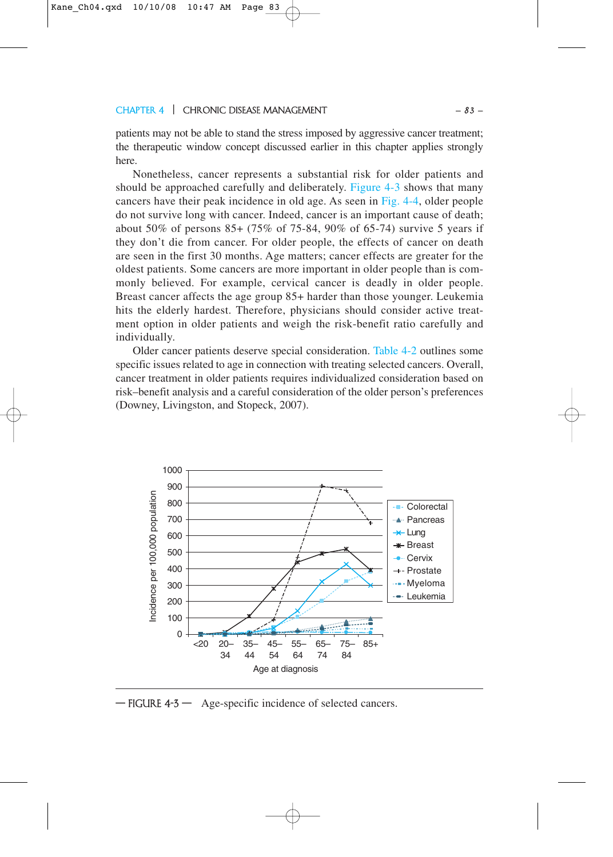#### CHAPTER 4 CHRONIC DISEASE MANAGEMENT – 83

patients may not be able to stand the stress imposed by aggressive cancer treatment; the therapeutic window concept discussed earlier in this chapter applies strongly here.

Nonetheless, cancer represents a substantial risk for older patients and should be approached carefully and deliberately. Figure 4-3 shows that many cancers have their peak incidence in old age. As seen in Fig. 4-4, older people do not survive long with cancer. Indeed, cancer is an important cause of death; about 50% of persons 85+ (75% of 75-84, 90% of 65-74) survive 5 years if they don't die from cancer. For older people, the effects of cancer on death are seen in the first 30 months. Age matters; cancer effects are greater for the oldest patients. Some cancers are more important in older people than is commonly believed. For example, cervical cancer is deadly in older people. Breast cancer affects the age group 85+ harder than those younger. Leukemia hits the elderly hardest. Therefore, physicians should consider active treatment option in older patients and weigh the risk-benefit ratio carefully and individually.

Older cancer patients deserve special consideration. Table 4-2 outlines some specific issues related to age in connection with treating selected cancers. Overall, cancer treatment in older patients requires individualized consideration based on risk–benefit analysis and a careful consideration of the older person's preferences (Downey, Livingston, and Stopeck, 2007).



— FIGURE 4-3 — Age-specific incidence of selected cancers.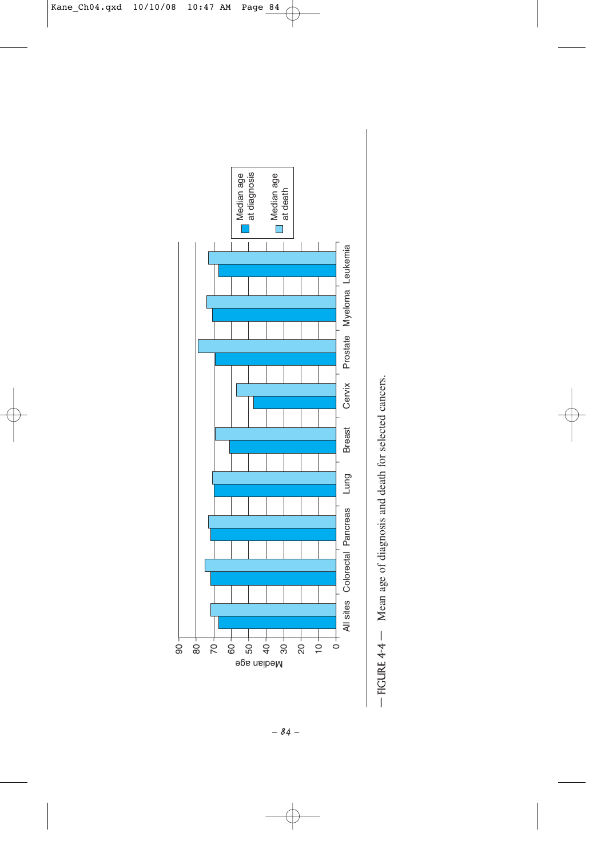

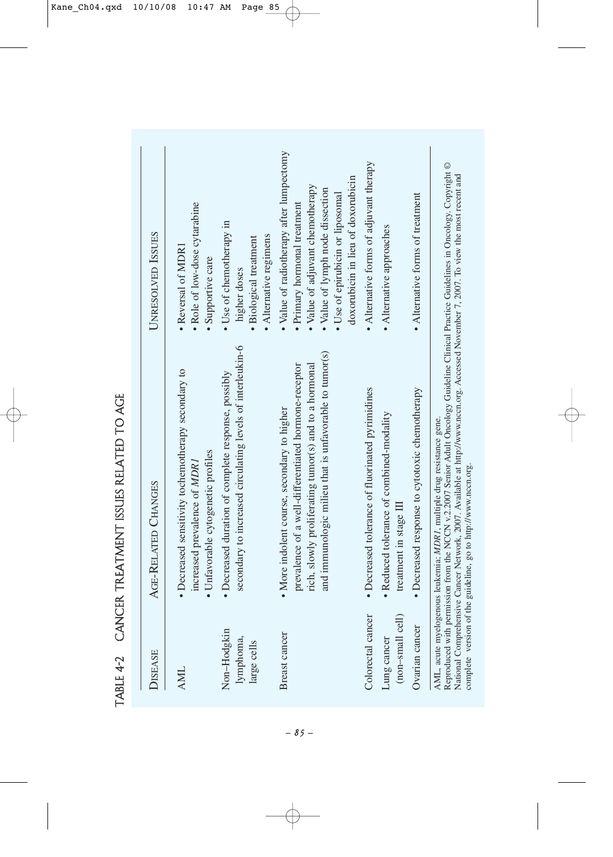| <b>DISEASE</b>                          | <b>AGE-RELATED CHANGES</b>                                                                                                                                                                                                                                                                                                                                                                                                 | UNRESOLVED ISSUES                                                                                                                                                                                                          |
|-----------------------------------------|----------------------------------------------------------------------------------------------------------------------------------------------------------------------------------------------------------------------------------------------------------------------------------------------------------------------------------------------------------------------------------------------------------------------------|----------------------------------------------------------------------------------------------------------------------------------------------------------------------------------------------------------------------------|
| <b>AML</b>                              | · Decreased sensitivity tochemotherapy secondary to<br>· Unfavorable cytogenetic profiles<br>increased prevalence of MDR1                                                                                                                                                                                                                                                                                                  | • Role of low-dose cytarabine<br>· Reversal of MDR1<br>· Supportive care                                                                                                                                                   |
| Non-Hodgkin<br>lymphoma,<br>large cells | secondary to increased circulating levels of interleukin-6<br>· Decreased duration of complete response, possibly                                                                                                                                                                                                                                                                                                          | • Use of chemotherapy in<br>• Alternative regimens<br>· Biological treatment<br>higher doses                                                                                                                               |
| Breast cancer                           | and immunologic milieu that is unfavorable to tumor(s)<br>rich, slowly proliferating tumor(s) and to a hormonal<br>prevalence of a well-differentiated hormone-receptor<br>• More indolent course, secondary to higher                                                                                                                                                                                                     | · Value of radiotherapy after lumpectomy<br>doxorubicin in lieu of doxorubicin<br>• Value of adjuvant chemotherapy<br>· Value of lymph node dissection<br>• Use of epirubicin or liposomal<br>· Primary hormonal treatment |
| Colorectal cancer                       | • Decreased tolerance of fluorinated pyrimidines                                                                                                                                                                                                                                                                                                                                                                           | • Alternative forms of adjuvant therapy                                                                                                                                                                                    |
| (non-small cell)<br>Lung cancer         | • Reduced tolerance of combined-modality<br>treatment in stage III                                                                                                                                                                                                                                                                                                                                                         | · Alternative approaches                                                                                                                                                                                                   |
| Ovarian cancer                          | • Decreased response to cytotoxic chemotherapy                                                                                                                                                                                                                                                                                                                                                                             | • Alternative forms of treatment                                                                                                                                                                                           |
|                                         | Reproduced with permission from the NCCN v.2.2007 Senior Adult Oncology Guideline Clinical Practice Guidelines in Oncology. Copyright ©<br>National Comprehensive Cancer Network, 2007. Available at http://www.nccn.org. Accessed November 7, 2007. To view the most recent and<br>AML, acute myelogenous leukemia; MDR1, multiple drug resistance gene.<br>complete version of the guideline, go to http://www.nccn.org. |                                                                                                                                                                                                                            |

TABLE 4-2 CANCER TREATMENT ISSUES RELATED TO AGE Table 4-2 CANCER TREATMENT ISSUES RELATED TO AGE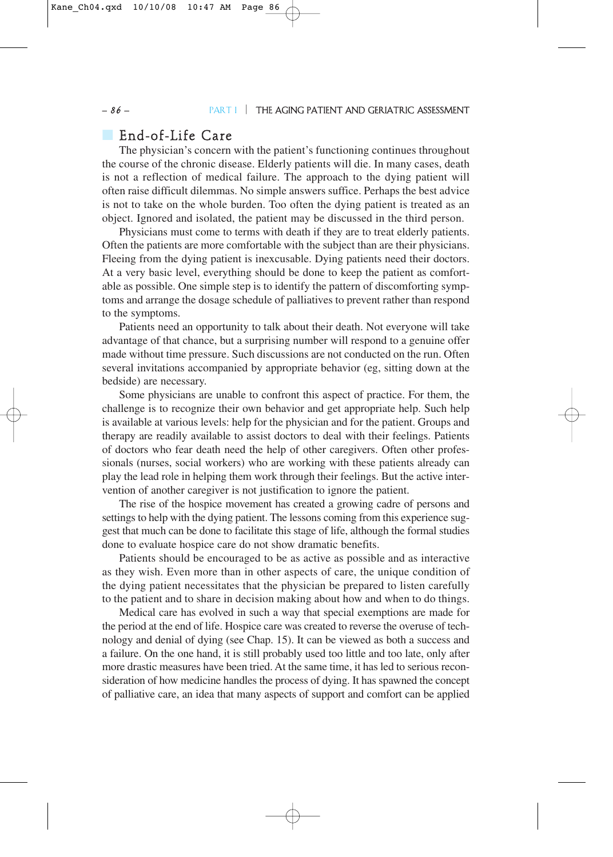# ■ End-of-Life Care

The physician's concern with the patient's functioning continues throughout the course of the chronic disease. Elderly patients will die. In many cases, death is not a reflection of medical failure. The approach to the dying patient will often raise difficult dilemmas. No simple answers suffice. Perhaps the best advice is not to take on the whole burden. Too often the dying patient is treated as an object. Ignored and isolated, the patient may be discussed in the third person.

Physicians must come to terms with death if they are to treat elderly patients. Often the patients are more comfortable with the subject than are their physicians. Fleeing from the dying patient is inexcusable. Dying patients need their doctors. At a very basic level, everything should be done to keep the patient as comfortable as possible. One simple step is to identify the pattern of discomforting symptoms and arrange the dosage schedule of palliatives to prevent rather than respond to the symptoms.

Patients need an opportunity to talk about their death. Not everyone will take advantage of that chance, but a surprising number will respond to a genuine offer made without time pressure. Such discussions are not conducted on the run. Often several invitations accompanied by appropriate behavior (eg, sitting down at the bedside) are necessary.

Some physicians are unable to confront this aspect of practice. For them, the challenge is to recognize their own behavior and get appropriate help. Such help is available at various levels: help for the physician and for the patient. Groups and therapy are readily available to assist doctors to deal with their feelings. Patients of doctors who fear death need the help of other caregivers. Often other professionals (nurses, social workers) who are working with these patients already can play the lead role in helping them work through their feelings. But the active intervention of another caregiver is not justification to ignore the patient.

The rise of the hospice movement has created a growing cadre of persons and settings to help with the dying patient. The lessons coming from this experience suggest that much can be done to facilitate this stage of life, although the formal studies done to evaluate hospice care do not show dramatic benefits.

Patients should be encouraged to be as active as possible and as interactive as they wish. Even more than in other aspects of care, the unique condition of the dying patient necessitates that the physician be prepared to listen carefully to the patient and to share in decision making about how and when to do things.

Medical care has evolved in such a way that special exemptions are made for the period at the end of life. Hospice care was created to reverse the overuse of technology and denial of dying (see Chap. 15). It can be viewed as both a success and a failure. On the one hand, it is still probably used too little and too late, only after more drastic measures have been tried. At the same time, it has led to serious reconsideration of how medicine handles the process of dying. It has spawned the concept of palliative care, an idea that many aspects of support and comfort can be applied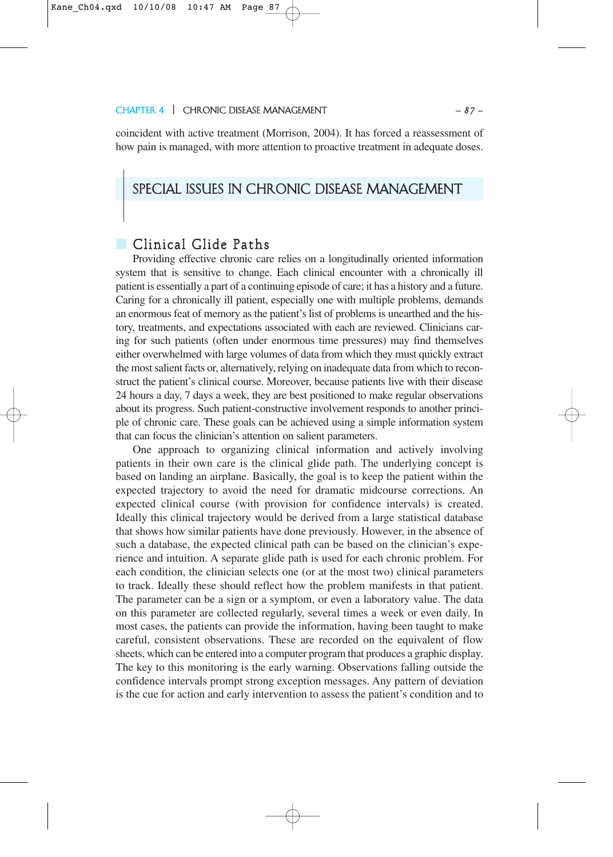#### chapter 4 - CHRONIC DISEASE MANAGEMENT – *8 7* –

coincident with active treatment (Morrison, 2004). It has forced a reassessment of how pain is managed, with more attention to proactive treatment in adequate doses.

# SPECIAL ISSUES IN CHRONIC DISEASE MANAGEMENT

# ■ Clinical Glide Paths

Providing effective chronic care relies on a longitudinally oriented information system that is sensitive to change. Each clinical encounter with a chronically ill patient is essentially a part of a continuing episode of care; it has a history and a future. Caring for a chronically ill patient, especially one with multiple problems, demands an enormous feat of memory as the patient's list of problems is unearthed and the history, treatments, and expectations associated with each are reviewed. Clinicians caring for such patients (often under enormous time pressures) may find themselves either overwhelmed with large volumes of data from which they must quickly extract the most salient facts or, alternatively, relying on inadequate data from which to reconstruct the patient's clinical course. Moreover, because patients live with their disease 24 hours a day, 7 days a week, they are best positioned to make regular observations about its progress. Such patient-constructive involvement responds to another principle of chronic care. These goals can be achieved using a simple information system that can focus the clinician's attention on salient parameters.

One approach to organizing clinical information and actively involving patients in their own care is the clinical glide path. The underlying concept is based on landing an airplane. Basically, the goal is to keep the patient within the expected trajectory to avoid the need for dramatic midcourse corrections. An expected clinical course (with provision for confidence intervals) is created. Ideally this clinical trajectory would be derived from a large statistical database that shows how similar patients have done previously. However, in the absence of such a database, the expected clinical path can be based on the clinician's experience and intuition. A separate glide path is used for each chronic problem. For each condition, the clinician selects one (or at the most two) clinical parameters to track. Ideally these should reflect how the problem manifests in that patient. The parameter can be a sign or a symptom, or even a laboratory value. The data on this parameter are collected regularly, several times a week or even daily. In most cases, the patients can provide the information, having been taught to make careful, consistent observations. These are recorded on the equivalent of flow sheets, which can be entered into a computer program that produces a graphic display. The key to this monitoring is the early warning. Observations falling outside the confidence intervals prompt strong exception messages. Any pattern of deviation is the cue for action and early intervention to assess the patient's condition and to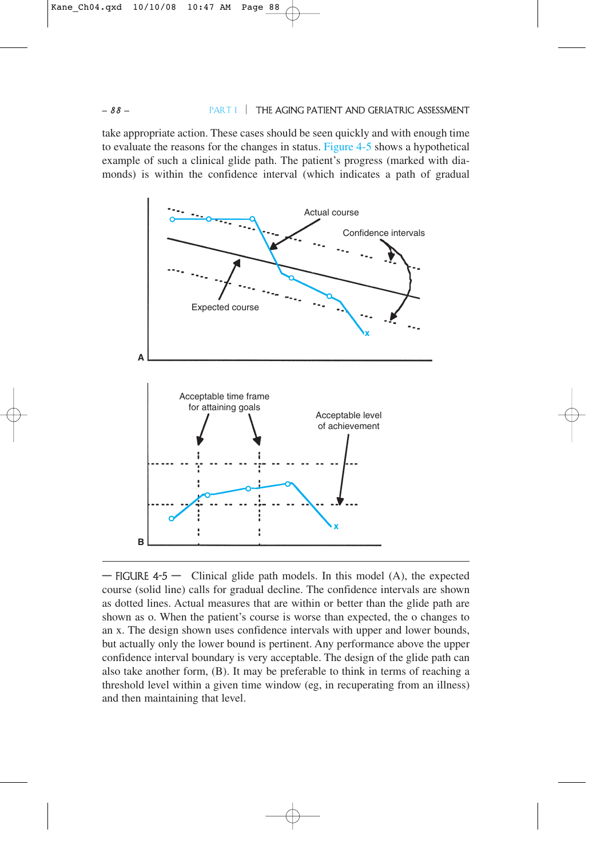#### - 88 – PART I THE AGING PATIENT AND GERIATRIC ASSESSMENT

take appropriate action. These cases should be seen quickly and with enough time to evaluate the reasons for the changes in status. Figure 4-5 shows a hypothetical example of such a clinical glide path. The patient's progress (marked with diamonds) is within the confidence interval (which indicates a path of gradual



 $-$  FIGURE 4-5  $-$  Clinical glide path models. In this model (A), the expected course (solid line) calls for gradual decline. The confidence intervals are shown as dotted lines. Actual measures that are within or better than the glide path are shown as o. When the patient's course is worse than expected, the o changes to an x. The design shown uses confidence intervals with upper and lower bounds, but actually only the lower bound is pertinent. Any performance above the upper confidence interval boundary is very acceptable. The design of the glide path can also take another form, (B). It may be preferable to think in terms of reaching a threshold level within a given time window (eg, in recuperating from an illness) and then maintaining that level.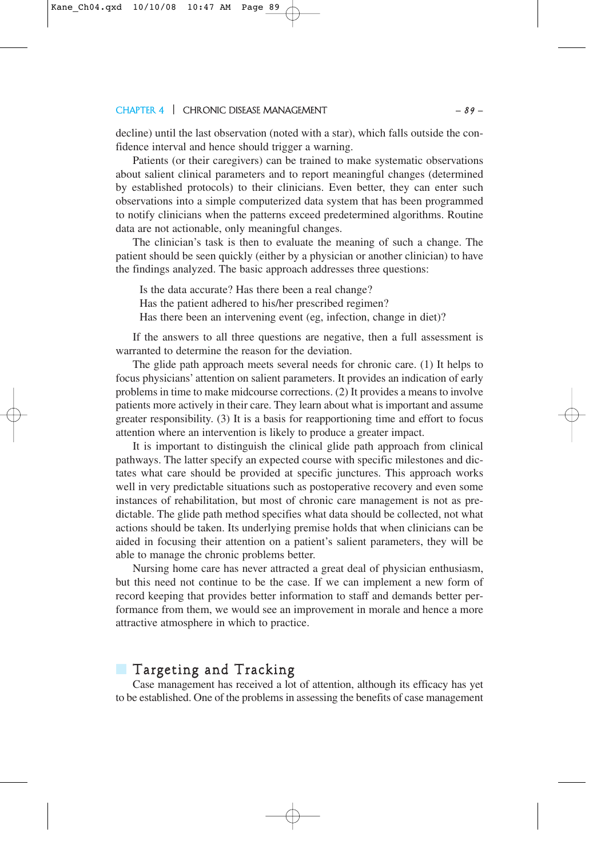#### CHAPTER 4 CHRONIC DISEASE MANAGEMENT – 89 –

decline) until the last observation (noted with a star), which falls outside the confidence interval and hence should trigger a warning.

Patients (or their caregivers) can be trained to make systematic observations about salient clinical parameters and to report meaningful changes (determined by established protocols) to their clinicians. Even better, they can enter such observations into a simple computerized data system that has been programmed to notify clinicians when the patterns exceed predetermined algorithms. Routine data are not actionable, only meaningful changes.

The clinician's task is then to evaluate the meaning of such a change. The patient should be seen quickly (either by a physician or another clinician) to have the findings analyzed. The basic approach addresses three questions:

Is the data accurate? Has there been a real change? Has the patient adhered to his/her prescribed regimen? Has there been an intervening event (eg, infection, change in diet)?

If the answers to all three questions are negative, then a full assessment is warranted to determine the reason for the deviation.

The glide path approach meets several needs for chronic care. (1) It helps to focus physicians' attention on salient parameters. It provides an indication of early problems in time to make midcourse corrections. (2) It provides a means to involve patients more actively in their care. They learn about what is important and assume greater responsibility. (3) It is a basis for reapportioning time and effort to focus attention where an intervention is likely to produce a greater impact.

It is important to distinguish the clinical glide path approach from clinical pathways. The latter specify an expected course with specific milestones and dictates what care should be provided at specific junctures. This approach works well in very predictable situations such as postoperative recovery and even some instances of rehabilitation, but most of chronic care management is not as predictable. The glide path method specifies what data should be collected, not what actions should be taken. Its underlying premise holds that when clinicians can be aided in focusing their attention on a patient's salient parameters, they will be able to manage the chronic problems better.

Nursing home care has never attracted a great deal of physician enthusiasm, but this need not continue to be the case. If we can implement a new form of record keeping that provides better information to staff and demands better performance from them, we would see an improvement in morale and hence a more attractive atmosphere in which to practice.

# ■ Targeting and Tracking

Case management has received a lot of attention, although its efficacy has yet to be established. One of the problems in assessing the benefits of case management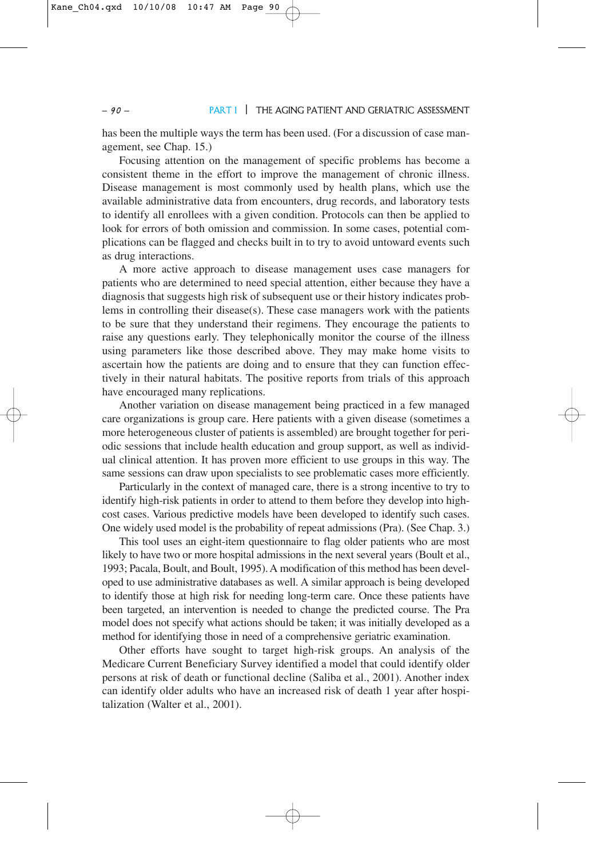has been the multiple ways the term has been used. (For a discussion of case management, see Chap. 15.)

Focusing attention on the management of specific problems has become a consistent theme in the effort to improve the management of chronic illness. Disease management is most commonly used by health plans, which use the available administrative data from encounters, drug records, and laboratory tests to identify all enrollees with a given condition. Protocols can then be applied to look for errors of both omission and commission. In some cases, potential complications can be flagged and checks built in to try to avoid untoward events such as drug interactions.

A more active approach to disease management uses case managers for patients who are determined to need special attention, either because they have a diagnosis that suggests high risk of subsequent use or their history indicates problems in controlling their disease(s). These case managers work with the patients to be sure that they understand their regimens. They encourage the patients to raise any questions early. They telephonically monitor the course of the illness using parameters like those described above. They may make home visits to ascertain how the patients are doing and to ensure that they can function effectively in their natural habitats. The positive reports from trials of this approach have encouraged many replications.

Another variation on disease management being practiced in a few managed care organizations is group care. Here patients with a given disease (sometimes a more heterogeneous cluster of patients is assembled) are brought together for periodic sessions that include health education and group support, as well as individual clinical attention. It has proven more efficient to use groups in this way. The same sessions can draw upon specialists to see problematic cases more efficiently.

Particularly in the context of managed care, there is a strong incentive to try to identify high-risk patients in order to attend to them before they develop into highcost cases. Various predictive models have been developed to identify such cases. One widely used model is the probability of repeat admissions (Pra). (See Chap. 3.)

This tool uses an eight-item questionnaire to flag older patients who are most likely to have two or more hospital admissions in the next several years (Boult et al., 1993; Pacala, Boult, and Boult, 1995). A modification of this method has been developed to use administrative databases as well. A similar approach is being developed to identify those at high risk for needing long-term care. Once these patients have been targeted, an intervention is needed to change the predicted course. The Pra model does not specify what actions should be taken; it was initially developed as a method for identifying those in need of a comprehensive geriatric examination.

Other efforts have sought to target high-risk groups. An analysis of the Medicare Current Beneficiary Survey identified a model that could identify older persons at risk of death or functional decline (Saliba et al., 2001). Another index can identify older adults who have an increased risk of death 1 year after hospitalization (Walter et al., 2001).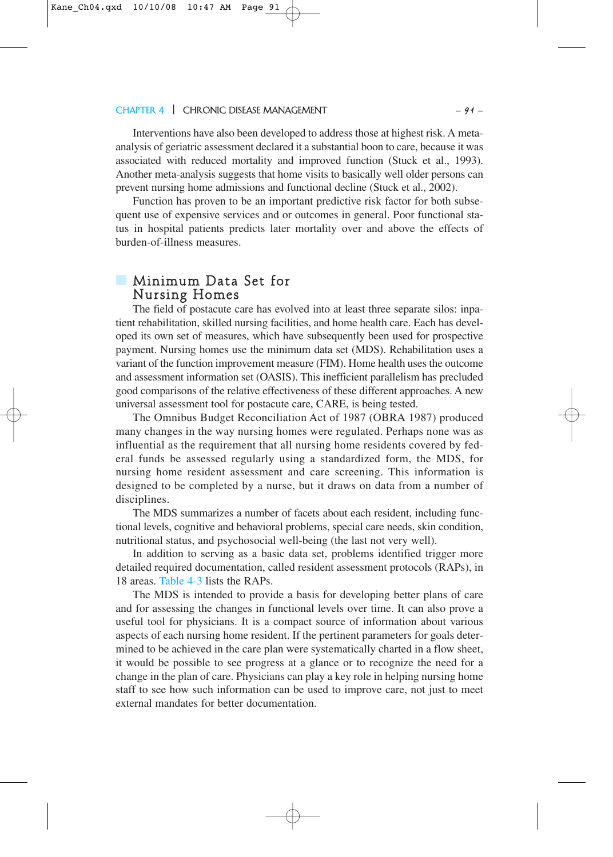#### chapter 4 - CHRONIC DISEASE MANAGEMENT – *9 1* –

Interventions have also been developed to address those at highest risk. A metaanalysis of geriatric assessment declared it a substantial boon to care, because it was associated with reduced mortality and improved function (Stuck et al., 1993). Another meta-analysis suggests that home visits to basically well older persons can prevent nursing home admissions and functional decline (Stuck et al., 2002).

Function has proven to be an important predictive risk factor for both subsequent use of expensive services and or outcomes in general. Poor functional status in hospital patients predicts later mortality over and above the effects of burden-of-illness measures.

# ■ Minimum Data Set for Nursing Homes

The field of postacute care has evolved into at least three separate silos: inpatient rehabilitation, skilled nursing facilities, and home health care. Each has developed its own set of measures, which have subsequently been used for prospective payment. Nursing homes use the minimum data set (MDS). Rehabilitation uses a variant of the function improvement measure (FIM). Home health uses the outcome and assessment information set (OASIS). This inefficient parallelism has precluded good comparisons of the relative effectiveness of these different approaches. A new universal assessment tool for postacute care, CARE, is being tested.

The Omnibus Budget Reconciliation Act of 1987 (OBRA 1987) produced many changes in the way nursing homes were regulated. Perhaps none was as influential as the requirement that all nursing home residents covered by federal funds be assessed regularly using a standardized form, the MDS, for nursing home resident assessment and care screening. This information is designed to be completed by a nurse, but it draws on data from a number of disciplines.

The MDS summarizes a number of facets about each resident, including functional levels, cognitive and behavioral problems, special care needs, skin condition, nutritional status, and psychosocial well-being (the last not very well).

In addition to serving as a basic data set, problems identified trigger more detailed required documentation, called resident assessment protocols (RAPs), in 18 areas. Table 4-3 lists the RAPs.

The MDS is intended to provide a basis for developing better plans of care and for assessing the changes in functional levels over time. It can also prove a useful tool for physicians. It is a compact source of information about various aspects of each nursing home resident. If the pertinent parameters for goals determined to be achieved in the care plan were systematically charted in a flow sheet, it would be possible to see progress at a glance or to recognize the need for a change in the plan of care. Physicians can play a key role in helping nursing home staff to see how such information can be used to improve care, not just to meet external mandates for better documentation.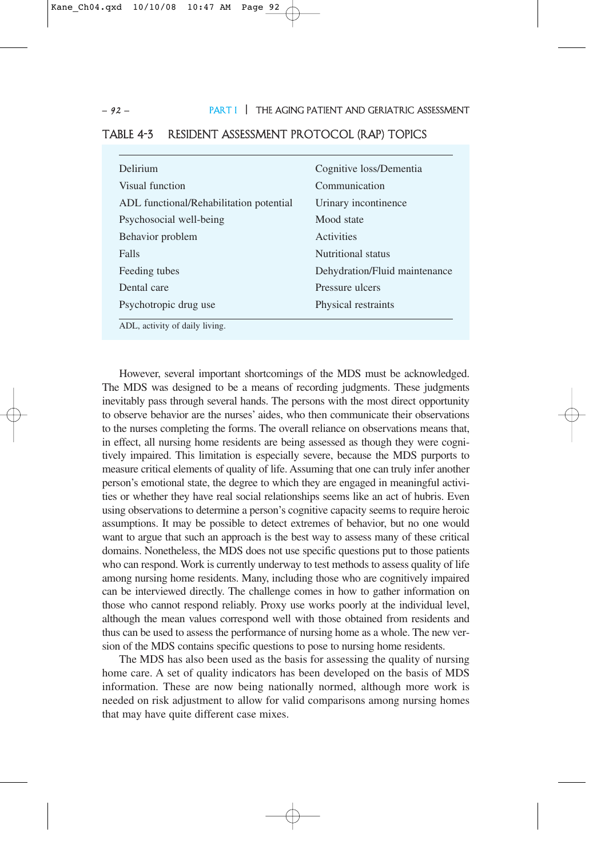- 92 - PARTI THE AGING PATIENT AND GERIATRIC ASSESSMENT

| Delirium                                | Cognitive loss/Dementia       |
|-----------------------------------------|-------------------------------|
| Visual function                         | Communication                 |
| ADL functional/Rehabilitation potential | Urinary incontinence          |
| Psychosocial well-being                 | Mood state                    |
| Behavior problem                        | Activities                    |
| Falls                                   | Nutritional status            |
| Feeding tubes                           | Dehydration/Fluid maintenance |
| Dental care                             | Pressure ulcers               |
| Psychotropic drug use                   | Physical restraints           |

# Table 4-3 RESIDENT ASSESSMENT PROTOCOL (RAP) TOPICS

ADL, activity of daily living.

However, several important shortcomings of the MDS must be acknowledged. The MDS was designed to be a means of recording judgments. These judgments inevitably pass through several hands. The persons with the most direct opportunity to observe behavior are the nurses' aides, who then communicate their observations to the nurses completing the forms. The overall reliance on observations means that, in effect, all nursing home residents are being assessed as though they were cognitively impaired. This limitation is especially severe, because the MDS purports to measure critical elements of quality of life. Assuming that one can truly infer another person's emotional state, the degree to which they are engaged in meaningful activities or whether they have real social relationships seems like an act of hubris. Even using observations to determine a person's cognitive capacity seems to require heroic assumptions. It may be possible to detect extremes of behavior, but no one would want to argue that such an approach is the best way to assess many of these critical domains. Nonetheless, the MDS does not use specific questions put to those patients who can respond. Work is currently underway to test methods to assess quality of life among nursing home residents. Many, including those who are cognitively impaired can be interviewed directly. The challenge comes in how to gather information on those who cannot respond reliably. Proxy use works poorly at the individual level, although the mean values correspond well with those obtained from residents and thus can be used to assess the performance of nursing home as a whole. The new version of the MDS contains specific questions to pose to nursing home residents.

The MDS has also been used as the basis for assessing the quality of nursing home care. A set of quality indicators has been developed on the basis of MDS information. These are now being nationally normed, although more work is needed on risk adjustment to allow for valid comparisons among nursing homes that may have quite different case mixes.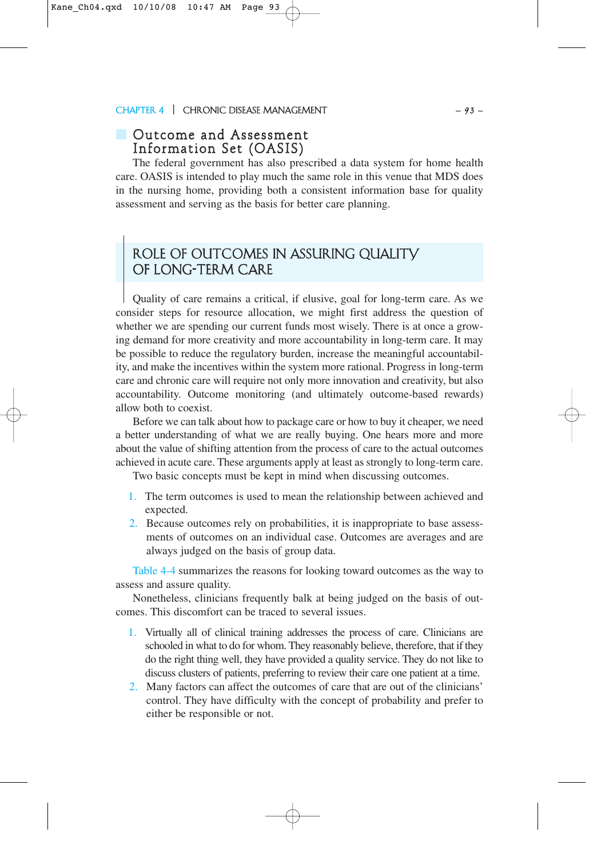### chapter 4 - CHRONIC DISEASE MANAGEMENT – *9 3* –

# ■ Outcome and Assessment Information Set (OASIS)

The federal government has also prescribed a data system for home health care. OASIS is intended to play much the same role in this venue that MDS does in the nursing home, providing both a consistent information base for quality assessment and serving as the basis for better care planning.

# ROLE OF OUTCOMES IN ASSURING QUALITY OF LONG-TERM CARE

Quality of care remains a critical, if elusive, goal for long-term care. As we consider steps for resource allocation, we might first address the question of whether we are spending our current funds most wisely. There is at once a growing demand for more creativity and more accountability in long-term care. It may be possible to reduce the regulatory burden, increase the meaningful accountability, and make the incentives within the system more rational. Progress in long-term care and chronic care will require not only more innovation and creativity, but also accountability. Outcome monitoring (and ultimately outcome-based rewards) allow both to coexist.

Before we can talk about how to package care or how to buy it cheaper, we need a better understanding of what we are really buying. One hears more and more about the value of shifting attention from the process of care to the actual outcomes achieved in acute care. These arguments apply at least as strongly to long-term care.

Two basic concepts must be kept in mind when discussing outcomes.

- 1. The term outcomes is used to mean the relationship between achieved and expected.
- 2. Because outcomes rely on probabilities, it is inappropriate to base assessments of outcomes on an individual case. Outcomes are averages and are always judged on the basis of group data.

Table 4-4 summarizes the reasons for looking toward outcomes as the way to assess and assure quality.

Nonetheless, clinicians frequently balk at being judged on the basis of outcomes. This discomfort can be traced to several issues.

- 1. Virtually all of clinical training addresses the process of care. Clinicians are schooled in what to do for whom. They reasonably believe, therefore, that if they do the right thing well, they have provided a quality service. They do not like to discuss clusters of patients, preferring to review their care one patient at a time.
- 2. Many factors can affect the outcomes of care that are out of the clinicians' control. They have difficulty with the concept of probability and prefer to either be responsible or not.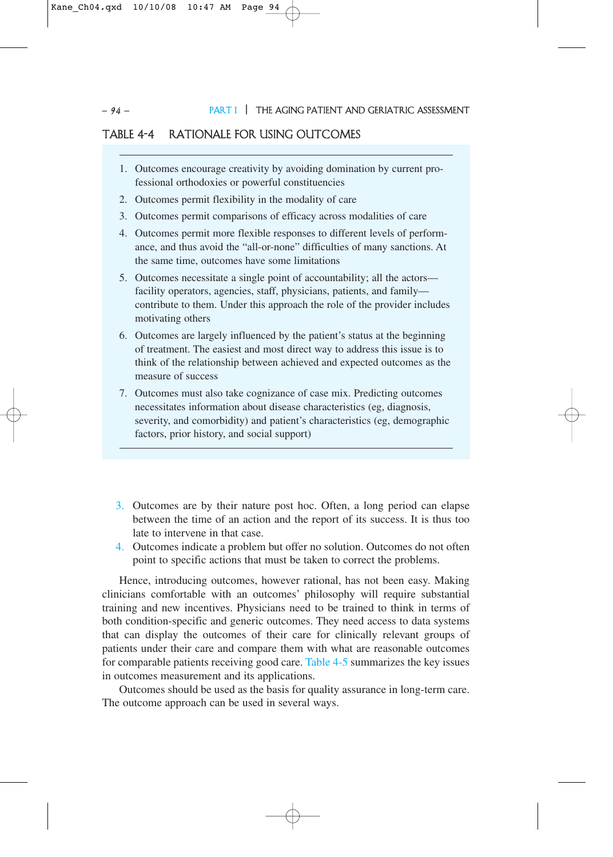# Table 4-4 RATIONALE FOR USING OUTCOMES

- 1. Outcomes encourage creativity by avoiding domination by current professional orthodoxies or powerful constituencies
- 2. Outcomes permit flexibility in the modality of care
- 3. Outcomes permit comparisons of efficacy across modalities of care
- 4. Outcomes permit more flexible responses to different levels of performance, and thus avoid the "all-or-none" difficulties of many sanctions. At the same time, outcomes have some limitations
- 5. Outcomes necessitate a single point of accountability; all the actors facility operators, agencies, staff, physicians, patients, and family contribute to them. Under this approach the role of the provider includes motivating others
- 6. Outcomes are largely influenced by the patient's status at the beginning of treatment. The easiest and most direct way to address this issue is to think of the relationship between achieved and expected outcomes as the measure of success
- 7. Outcomes must also take cognizance of case mix. Predicting outcomes necessitates information about disease characteristics (eg, diagnosis, severity, and comorbidity) and patient's characteristics (eg, demographic factors, prior history, and social support)
- 3. Outcomes are by their nature post hoc. Often, a long period can elapse between the time of an action and the report of its success. It is thus too late to intervene in that case.
- 4. Outcomes indicate a problem but offer no solution. Outcomes do not often point to specific actions that must be taken to correct the problems.

Hence, introducing outcomes, however rational, has not been easy. Making clinicians comfortable with an outcomes' philosophy will require substantial training and new incentives. Physicians need to be trained to think in terms of both condition-specific and generic outcomes. They need access to data systems that can display the outcomes of their care for clinically relevant groups of patients under their care and compare them with what are reasonable outcomes for comparable patients receiving good care. Table 4-5 summarizes the key issues in outcomes measurement and its applications.

Outcomes should be used as the basis for quality assurance in long-term care. The outcome approach can be used in several ways.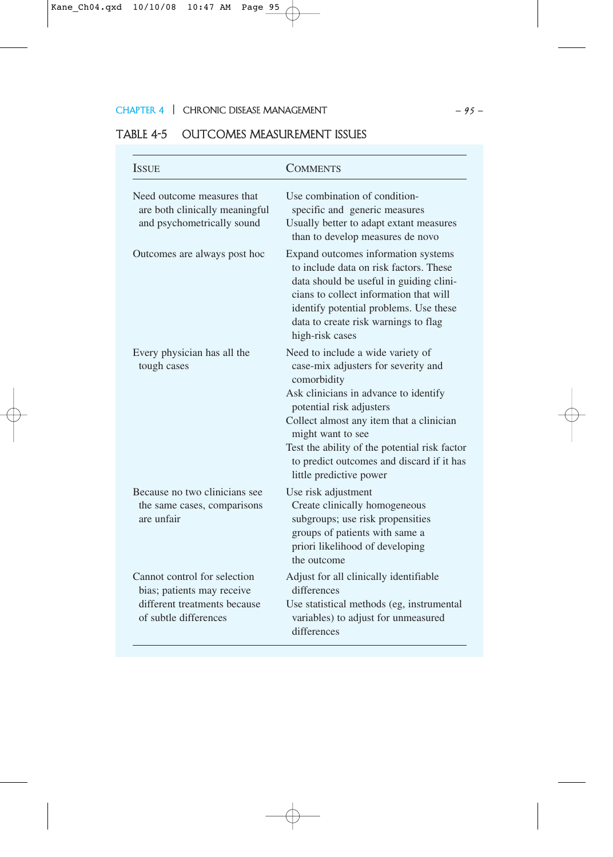### CHAPTER 4 CHRONIC DISEASE MANAGEMENT – 95

# Table 4-5 OUTCOMES MEASUREMENT ISSUES

| <b>ISSUE</b>                                                                                                        | <b>COMMENTS</b>                                                                                                                                                                                                                                                                                                                                        |
|---------------------------------------------------------------------------------------------------------------------|--------------------------------------------------------------------------------------------------------------------------------------------------------------------------------------------------------------------------------------------------------------------------------------------------------------------------------------------------------|
| Need outcome measures that<br>are both clinically meaningful<br>and psychometrically sound                          | Use combination of condition-<br>specific and generic measures<br>Usually better to adapt extant measures<br>than to develop measures de novo                                                                                                                                                                                                          |
| Outcomes are always post hoc                                                                                        | Expand outcomes information systems<br>to include data on risk factors. These<br>data should be useful in guiding clini-<br>cians to collect information that will<br>identify potential problems. Use these<br>data to create risk warnings to flag<br>high-risk cases                                                                                |
| Every physician has all the<br>tough cases                                                                          | Need to include a wide variety of<br>case-mix adjusters for severity and<br>comorbidity<br>Ask clinicians in advance to identify<br>potential risk adjusters<br>Collect almost any item that a clinician<br>might want to see<br>Test the ability of the potential risk factor<br>to predict outcomes and discard if it has<br>little predictive power |
| Because no two clinicians see<br>the same cases, comparisons<br>are unfair                                          | Use risk adjustment<br>Create clinically homogeneous<br>subgroups; use risk propensities<br>groups of patients with same a<br>priori likelihood of developing<br>the outcome                                                                                                                                                                           |
| Cannot control for selection<br>bias; patients may receive<br>different treatments because<br>of subtle differences | Adjust for all clinically identifiable<br>differences<br>Use statistical methods (eg, instrumental<br>variables) to adjust for unmeasured<br>differences                                                                                                                                                                                               |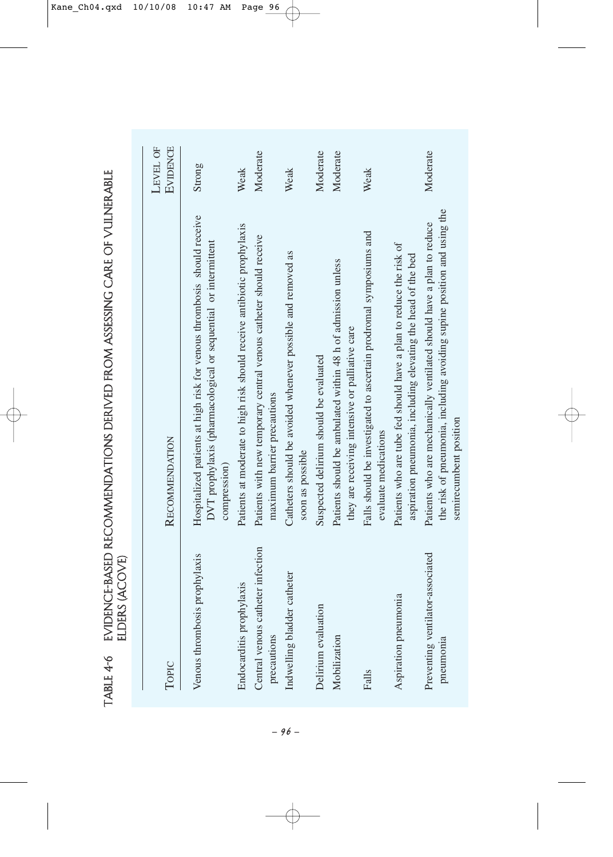| ELDERS (ACOVE)                                   |                                                                                                                                                                            |                             |
|--------------------------------------------------|----------------------------------------------------------------------------------------------------------------------------------------------------------------------------|-----------------------------|
| Topic                                            | RECOMMENDATION                                                                                                                                                             | LEVEL OF<br><b>EVIDENCE</b> |
| Venous thrombosis prophylaxis                    | Hospitalized patients at high risk for venous thrombosis should receive<br>DVT prophylaxis (pharmacological or sequential or intermittent<br>compression)                  | Strong                      |
| Endocarditis prophylaxis                         | Patients at moderate to high risk should receive antibiotic prophylaxis                                                                                                    | Weak                        |
| Central venous catheter infection<br>precautions | Patients with new temporary central venous catheter should receive<br>maximum barrier precautions                                                                          | Moderate                    |
| Indwelling bladder catheter                      | Catheters should be avoided whenever possible and removed as<br>soon as possible                                                                                           | Weak                        |
| Delirium evaluation                              | Suspected delirium should be evaluated                                                                                                                                     | Moderate                    |
| Mobilization                                     | Patients should be ambulated within 48 h of admission unless<br>they are receiving intensive or palliative care                                                            | Moderate                    |
| Falls                                            | Falls should be investigated to ascertain prodromal symposiums and<br>evaluate medications                                                                                 | Weak                        |
| Aspiration pneumonia                             | Patients who are tube fed should have a plan to reduce the risk of<br>aspiration pneumonia, including elevating the head of the bed                                        |                             |
| Preventing ventilator-associated<br>pneumonia    | the risk of pneumonia, including avoiding supine position and using the<br>Patients who are mechanically ventilated should have a plan to reduce<br>semirecumbent position | Moderate                    |

Table 4-6 EVIDENCE-BASED RECOMMENDATIONS DERIVED FROM ASSESSING CARE OF VULNERABLE

TABLE 4-6 EVIDENCE-BASED RECOMMENDATIONS DERIVED FROM ASSESSING CARE OF VULNERABLE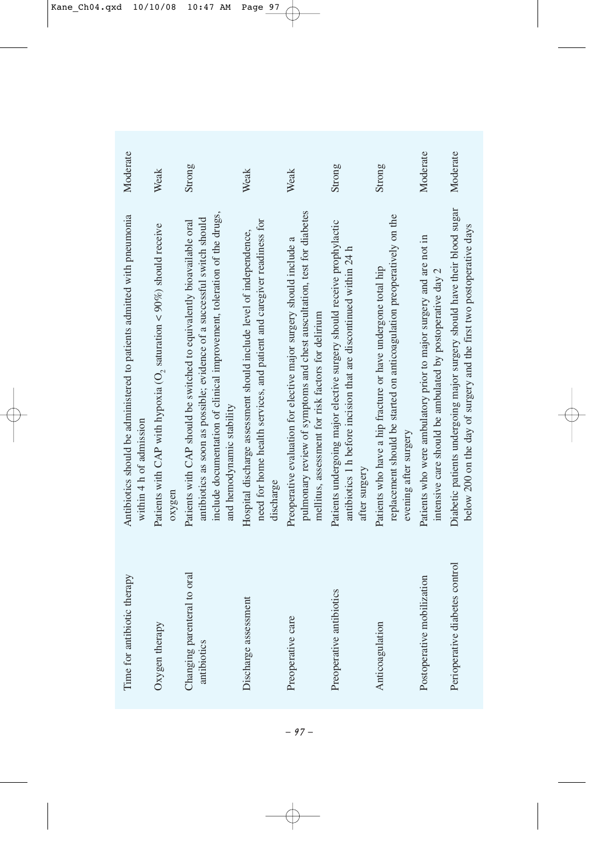| Time for antibiotic therapy                | Antibiotics should be administered to patients admitted with pneumonia<br>within 4 h of admission                                                                                                                                                         | Moderate |
|--------------------------------------------|-----------------------------------------------------------------------------------------------------------------------------------------------------------------------------------------------------------------------------------------------------------|----------|
| Oxygen therapy                             | Patients with CAP with hypoxia (O <sub>2</sub> saturation $\lt 90\%$ ) should receive<br>oxygen                                                                                                                                                           | Weak     |
| Changing parenteral to oral<br>antibiotics | include documentation of clinical improvement, toleration of the drugs,<br>antibiotics as soon as possible; evidence of a successful switch should<br>Patients with CAP should be switched to equivalently bioavailable oral<br>and hemodynamic stability | Strong   |
| Discharge assessment                       | need for home health services, and patient and caregiver readiness for<br>Hospital discharge assessment should include level of independence,<br>discharge                                                                                                | Weak     |
| Preoperative care                          | pulmonary review of symptoms and chest auscultation, test for diabetes<br>Preoperative evaluation for elective major surgery should include a<br>mellitus, assessment for risk factors for delirium                                                       | Weak     |
| Preoperative antibiotics                   | Patients undergoing major elective surgery should receive prophylactic<br>antibiotics 1 h before incision that are discontinued within 24 h<br>after surgery                                                                                              | Strong   |
| Anticoagulation                            | replacement should be started on anticoagulation preoperatively on the<br>Patients who have a hip fracture or have undergone total hip<br>evening after surgery                                                                                           | Strong   |
| Postoperative mobilization                 | Patients who were ambulatory prior to major surgery and are not in<br>intensive care should be ambulated by postoperative day 2                                                                                                                           | Moderate |
| Perioperative diabetes control             | Diabetic patients undergoing major surgery should have their blood sugar<br>below 200 on the day of surgery and the first two postoperative days                                                                                                          | Moderate |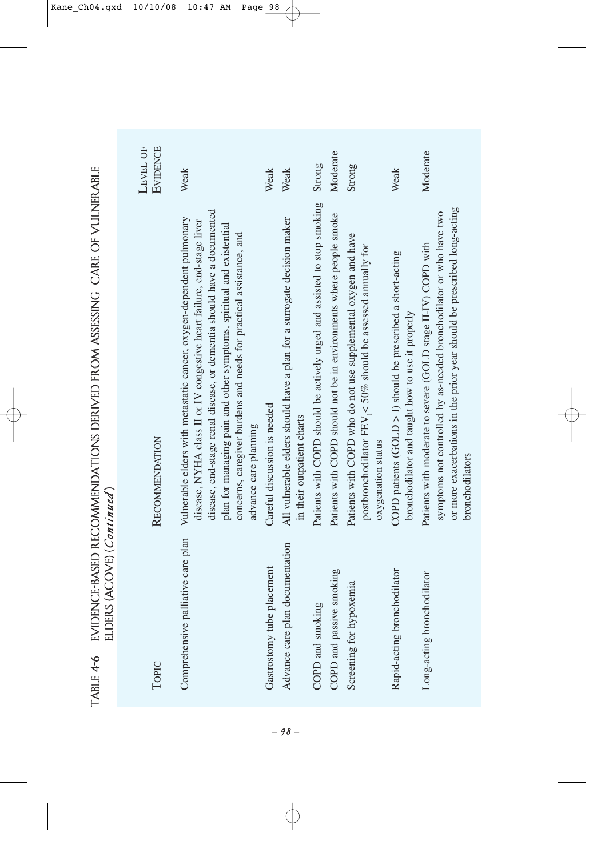| ELDERS (ACOVE) (Continued)<br>TABLE 4-6 | EVIDENCE-BASED RECOMMENDATIONS DERIVED FROM ASSESSING CARE OF VULNERABLE                                                                                                                                                                                                                                                                                                                         |                             |
|-----------------------------------------|--------------------------------------------------------------------------------------------------------------------------------------------------------------------------------------------------------------------------------------------------------------------------------------------------------------------------------------------------------------------------------------------------|-----------------------------|
| Topic                                   | <b>RECOMMENDATION</b>                                                                                                                                                                                                                                                                                                                                                                            | <b>EVIDENCE</b><br>LEVEL OF |
| Comprehensive palliative care plan      | disease, end-stage renal disease, or dementia should have a documented<br>Vulnerable elders with metastatic cancer, oxygen-dependent pulmonary<br>disease, NYHA class II or IV congestive heart failure, end-stage liver<br>plan for managing pain and other symptoms, spiritual and existential<br>concerns, caregiver burdens and needs for practical assistance, and<br>advance care planning | Weak                        |
| Gastrostomy tube placement              | Careful discussion is needed                                                                                                                                                                                                                                                                                                                                                                     | Weak                        |
| Advance care plan documentation         | All vulnerable elders should have a plan for a surrogate decision maker<br>in their outpatient charts                                                                                                                                                                                                                                                                                            | Weak                        |
| COPD and smoking                        | Patients with COPD should be actively urged and assisted to stop smoking                                                                                                                                                                                                                                                                                                                         | Strong                      |
| COPD and passive smoking                | Patients with COPD should not be in environments where people smoke                                                                                                                                                                                                                                                                                                                              | Moderate                    |
| Screening for hypoxemia                 | Patients with COPD who do not use supplemental oxygen and have<br>postbronchodilator FEV <sub>1</sub> $<$ 50% should be assessed annually for<br>oxygenation status                                                                                                                                                                                                                              | Strong                      |
| Rapid-acting bronchodilator             | COPD patients (GOLD $>$ I) should be prescribed a short-acting<br>bronchodilator and taught how to use it properly                                                                                                                                                                                                                                                                               | Weak                        |
| Long-acting bronchodilator              | or more exacerbations in the prior year should be prescribed long-acting<br>symptoms not controlled by as-needed bronchodilator or who have two<br>Patients with moderate to severe (GOLD stage II-IV) COPD with<br>bronchodilators                                                                                                                                                              | Moderate                    |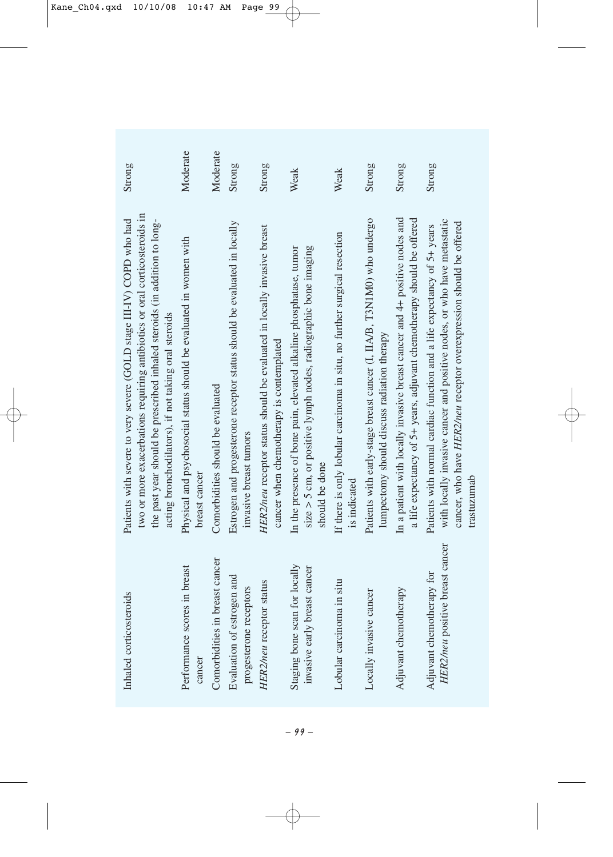| Inhaled corticosteroids                                       | two or more exacerbations requiring antibiotics or oral corticosteroids in<br>Patients with severe to very severe (GOLD stage III-IV) COPD who had<br>the past year should be prescribed inhaled steroids (in addition to long-<br>acting bronchodilators), if not taking oral steroids | Strong   |
|---------------------------------------------------------------|-----------------------------------------------------------------------------------------------------------------------------------------------------------------------------------------------------------------------------------------------------------------------------------------|----------|
| Performance scores in breast<br>cancer                        | Physical and psychosocial status should be evaluated in women with<br>breast cancer                                                                                                                                                                                                     | Moderate |
| Comorbidities in breast cancer                                | Comorbidities should be evaluated                                                                                                                                                                                                                                                       | Moderate |
| Evaluation of estrogen and<br>progesterone receptors          | Estrogen and progesterone receptor status should be evaluated in locally<br>invasive breast tumors                                                                                                                                                                                      | Strong   |
| HER2/neu receptor status                                      | HER2/neu receptor status should be evaluated in locally invasive breast<br>cancer when chemotherapy is contemplated                                                                                                                                                                     | Strong   |
| Staging bone scan for locally<br>invasive early breast cancer | size > 5 cm, or positive lymph nodes, radiographic bone imaging<br>In the presence of bone pain, elevated alkaline phosphatase, tumor<br>should be done                                                                                                                                 | Weak     |
| Lobular carcinoma in situ                                     | If there is only lobular carcinoma in situ, no further surgical resection<br>is indicated                                                                                                                                                                                               | Weak     |
| Locally invasive cancer                                       | Patients with early-stage breast cancer (I, IIA/B, T3N1M0) who undergo<br>lumpectomy should discuss radiation therapy                                                                                                                                                                   | Strong   |
| Adjuvant chemotherapy                                         | In a patient with locally invasive breast cancer and 4+ positive nodes and<br>a life expectancy of 5+ years, adjuvant chemotherapy should be offered                                                                                                                                    | Strong   |
| HER2/neu positive breast cancer<br>Adjuvant chemotherapy for  | with locally invasive cancer and positive nodes, or who have metastatic<br>cancer, who have HER2/neu receptor overexpression should be offered<br>Patients with normal cardiac function and a life expectancy of 5+ years<br>trastuzumab                                                | Strong   |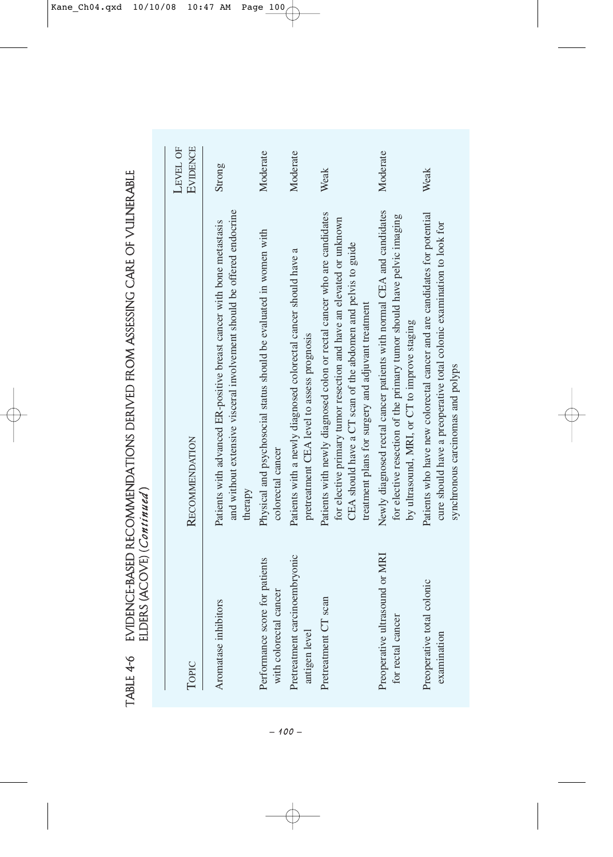| $LLLLLO$ $(MUUV)$ $(UVIII$ $NUL)$                        |                                                                                                                                                                                                                                                                       |                             |
|----------------------------------------------------------|-----------------------------------------------------------------------------------------------------------------------------------------------------------------------------------------------------------------------------------------------------------------------|-----------------------------|
|                                                          |                                                                                                                                                                                                                                                                       |                             |
| Торіс                                                    | RECOMMENDATION                                                                                                                                                                                                                                                        | LEVEL OF<br><b>EVIDENCE</b> |
| Aromatase inhibitors                                     | and without extensive visceral involvement should be offered endocrine<br>Patients with advanced ER-positive breast cancer with bone metastasis<br>therapy                                                                                                            | Strong                      |
| Performance score for patients<br>with colorectal cancer | Physical and psychosocial status should be evaluated in women with<br>colorectal cancer                                                                                                                                                                               | Moderate                    |
| Pretreatment carcinoembryonic<br>antigen level           | Patients with a newly diagnosed colorectal cancer should have a<br>pretreatment CEA level to assess prognosis                                                                                                                                                         | Moderate                    |
| Pretreatment CT scan                                     | Patients with newly diagnosed colon or rectal cancer who are candidates<br>for elective primary tumor resection and have an elevated or unknown<br>CEA should have a CT scan of the abdomen and pelvis to guide<br>treatment plans for surgery and adjuvant treatment | Weak                        |
| Preoperative ultrasound or MRI<br>for rectal cancer      | Newly diagnosed rectal cancer patients with normal CEA and candidates<br>for elective resection of the primary tumor should have pelvic imaging<br>by ultrasound, MRI, or CT to improve staging                                                                       | Moderate                    |
| Preoperative total colonic<br>examination                | Patients who have new colorectal cancer and are candidates for potential<br>cure should have a preoperative total colonic examination to look for<br>synchronous carcinomas and polyps                                                                                | Weak                        |

# EVIDENCE-BASED RECOMMENDATIONS DERIVED FROM ASSESSING CARE OF VULNERABLE FIDERS (ACOVE) (Continued) Table 4-6 EVIDENCE-BASED RECOMMENDATIONS DERIVED FROM ASSESSING CARE OF VULNERABLE ELDERS (ACOVE) (*Continued* ) TABLE 4-6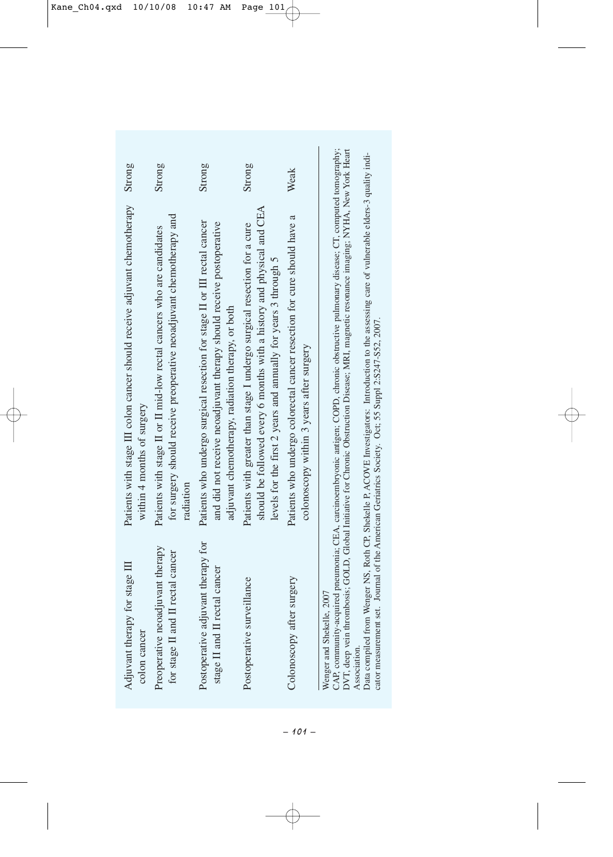|                                                                                                                | Strong                                                                                                                                                      | Strong                                                                                                                                                                                                 | Strong                                                                                                                                                                                                               | Weak                                                                                                                |                                                                                                                                                                                                                                                                                                                                                                                                                                                                        |
|----------------------------------------------------------------------------------------------------------------|-------------------------------------------------------------------------------------------------------------------------------------------------------------|--------------------------------------------------------------------------------------------------------------------------------------------------------------------------------------------------------|----------------------------------------------------------------------------------------------------------------------------------------------------------------------------------------------------------------------|---------------------------------------------------------------------------------------------------------------------|------------------------------------------------------------------------------------------------------------------------------------------------------------------------------------------------------------------------------------------------------------------------------------------------------------------------------------------------------------------------------------------------------------------------------------------------------------------------|
| Patients with stage III colon cancer should receive adjuvant chemotherapy Strong<br>within 4 months of surgery | for surgery should receive preoperative neoadjuvant chemotherapy and<br>Patients with stage II or II mid-low rectal cancers who are candidates<br>radiation | Patients who undergo surgical resection for stage II or III rectal cancer<br>and did not receive neoadjuvant therapy should receive postoperative<br>adjuvant chemotherapy, radiation therapy, or both | should be followed every 6 months with a history and physical and CEA<br>Patients with greater than stage I undergo surgical resection for a cure<br>levels for the first 2 years and annually for years 3 through 5 | Patients who undergo colorectal cancer resection for cure should have a<br>colonoscopy within 3 years after surgery | CAP, community-acquired pneumonia; CEA, carcinoembryonic antigen; COPD, chronic obstructive pulmonary disease; CT, computed tomography;<br>DVT, deep vein thrombosis; GOLD, Global Initiative for Chronic Obstruction Disease; MR<br>Data compiled from Wenger NS, Roth CP, Shekelle P, ACOVE Investigators: Introduction to the assessing care of vulnerable elders-3 quality indi-<br>cator measurement set. Journal of the American Geriatrics Society. Oct; 55 Sup |
| Adjuvant therapy for stage III<br>colon cancer                                                                 | Preoperative neoadjuvant therapy<br>for stage II and II rectal cancer                                                                                       | Postoperative adjuvant therapy for<br>stage II and II rectal cancer                                                                                                                                    | Postoperative surveillance                                                                                                                                                                                           | Colonoscopy after surgery                                                                                           | Wenger and Shekelle, 2007<br>Association                                                                                                                                                                                                                                                                                                                                                                                                                               |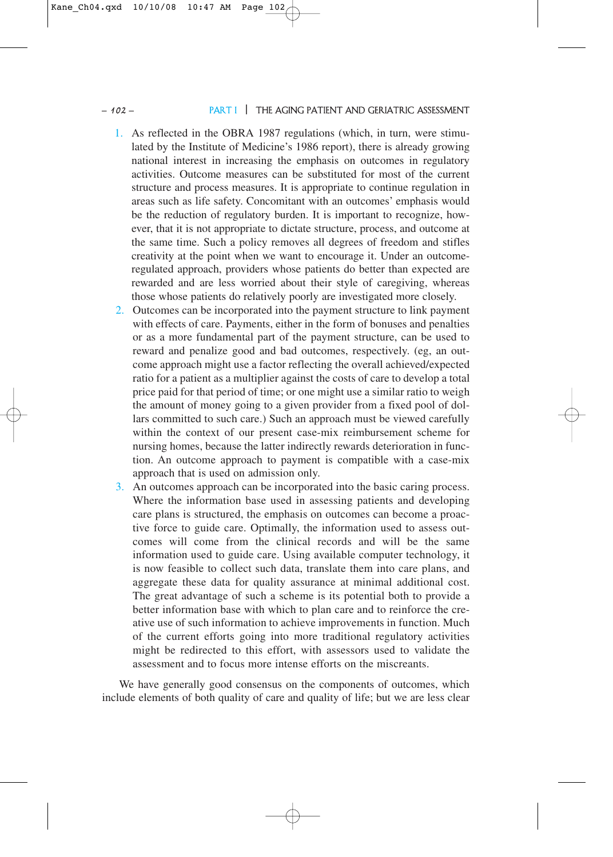# - 102 - PART I THE AGING PATIENT AND GERIATRIC ASSESSMENT

- 1. As reflected in the OBRA 1987 regulations (which, in turn, were stimulated by the Institute of Medicine's 1986 report), there is already growing national interest in increasing the emphasis on outcomes in regulatory activities. Outcome measures can be substituted for most of the current structure and process measures. It is appropriate to continue regulation in areas such as life safety. Concomitant with an outcomes' emphasis would be the reduction of regulatory burden. It is important to recognize, however, that it is not appropriate to dictate structure, process, and outcome at the same time. Such a policy removes all degrees of freedom and stifles creativity at the point when we want to encourage it. Under an outcomeregulated approach, providers whose patients do better than expected are rewarded and are less worried about their style of caregiving, whereas those whose patients do relatively poorly are investigated more closely.
- 2. Outcomes can be incorporated into the payment structure to link payment with effects of care. Payments, either in the form of bonuses and penalties or as a more fundamental part of the payment structure, can be used to reward and penalize good and bad outcomes, respectively. (eg, an outcome approach might use a factor reflecting the overall achieved/expected ratio for a patient as a multiplier against the costs of care to develop a total price paid for that period of time; or one might use a similar ratio to weigh the amount of money going to a given provider from a fixed pool of dollars committed to such care.) Such an approach must be viewed carefully within the context of our present case-mix reimbursement scheme for nursing homes, because the latter indirectly rewards deterioration in function. An outcome approach to payment is compatible with a case-mix approach that is used on admission only.
- 3. An outcomes approach can be incorporated into the basic caring process. Where the information base used in assessing patients and developing care plans is structured, the emphasis on outcomes can become a proactive force to guide care. Optimally, the information used to assess outcomes will come from the clinical records and will be the same information used to guide care. Using available computer technology, it is now feasible to collect such data, translate them into care plans, and aggregate these data for quality assurance at minimal additional cost. The great advantage of such a scheme is its potential both to provide a better information base with which to plan care and to reinforce the creative use of such information to achieve improvements in function. Much of the current efforts going into more traditional regulatory activities might be redirected to this effort, with assessors used to validate the assessment and to focus more intense efforts on the miscreants.

We have generally good consensus on the components of outcomes, which include elements of both quality of care and quality of life; but we are less clear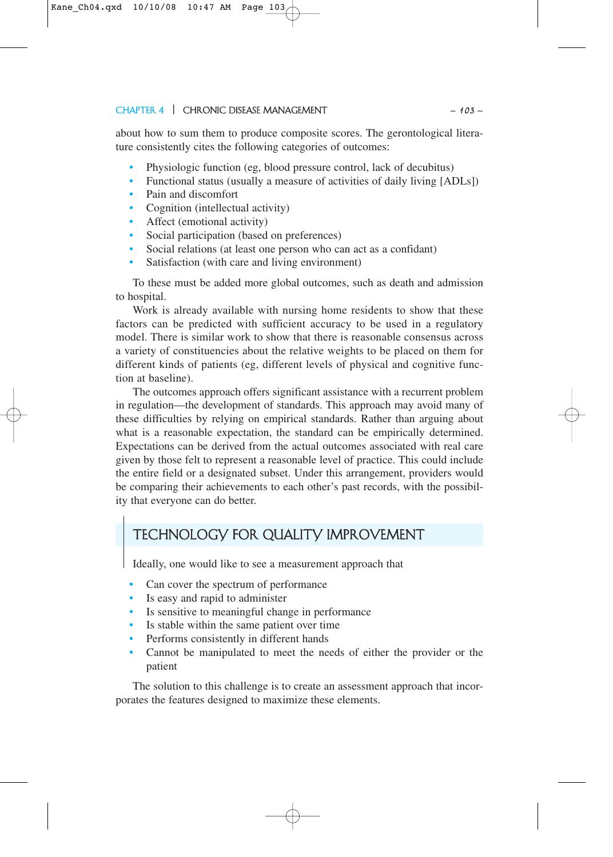# CHAPTER 4 CHRONIC DISEASE MANAGEMENT *– 103* –

about how to sum them to produce composite scores. The gerontological literature consistently cites the following categories of outcomes:

- Physiologic function (eg, blood pressure control, lack of decubitus)
- Functional status (usually a measure of activities of daily living [ADLs])
- Pain and discomfort
- Cognition (intellectual activity)
- Affect (emotional activity)
- Social participation (based on preferences)
- Social relations (at least one person who can act as a confidant)
- Satisfaction (with care and living environment)

To these must be added more global outcomes, such as death and admission to hospital.

Work is already available with nursing home residents to show that these factors can be predicted with sufficient accuracy to be used in a regulatory model. There is similar work to show that there is reasonable consensus across a variety of constituencies about the relative weights to be placed on them for different kinds of patients (eg, different levels of physical and cognitive function at baseline).

The outcomes approach offers significant assistance with a recurrent problem in regulation—the development of standards. This approach may avoid many of these difficulties by relying on empirical standards. Rather than arguing about what is a reasonable expectation, the standard can be empirically determined. Expectations can be derived from the actual outcomes associated with real care given by those felt to represent a reasonable level of practice. This could include the entire field or a designated subset. Under this arrangement, providers would be comparing their achievements to each other's past records, with the possibility that everyone can do better.

# TECHNOLOGY FOR QUALITY IMPROVEMENT

Ideally, one would like to see a measurement approach that

- Can cover the spectrum of performance
- Is easy and rapid to administer
- Is sensitive to meaningful change in performance
- Is stable within the same patient over time
- Performs consistently in different hands
- Cannot be manipulated to meet the needs of either the provider or the patient

The solution to this challenge is to create an assessment approach that incorporates the features designed to maximize these elements.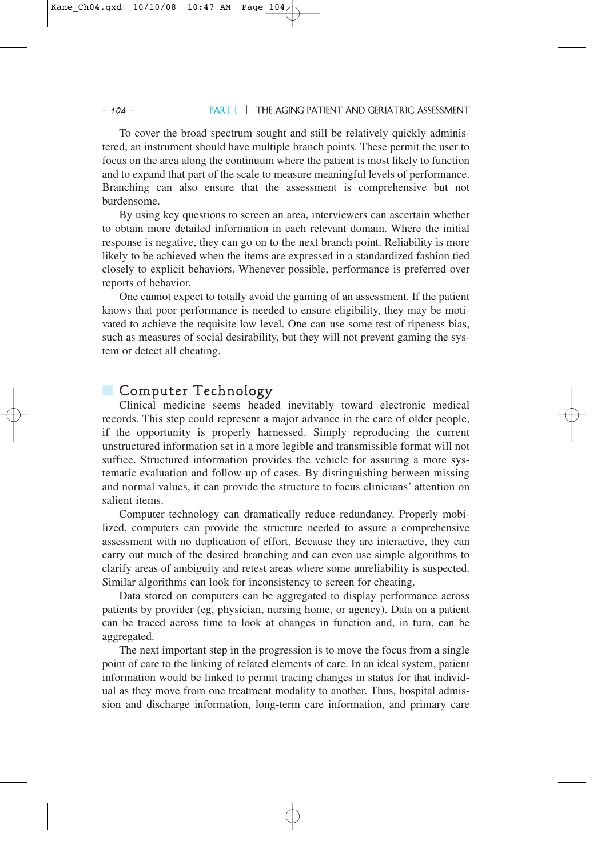### - 104 - PART I THE AGING PATIENT AND GERIATRIC ASSESSMENT

To cover the broad spectrum sought and still be relatively quickly administered, an instrument should have multiple branch points. These permit the user to focus on the area along the continuum where the patient is most likely to function and to expand that part of the scale to measure meaningful levels of performance. Branching can also ensure that the assessment is comprehensive but not burdensome.

By using key questions to screen an area, interviewers can ascertain whether to obtain more detailed information in each relevant domain. Where the initial response is negative, they can go on to the next branch point. Reliability is more likely to be achieved when the items are expressed in a standardized fashion tied closely to explicit behaviors. Whenever possible, performance is preferred over reports of behavior.

One cannot expect to totally avoid the gaming of an assessment. If the patient knows that poor performance is needed to ensure eligibility, they may be motivated to achieve the requisite low level. One can use some test of ripeness bias, such as measures of social desirability, but they will not prevent gaming the system or detect all cheating.

# ■ Computer Technology

Clinical medicine seems headed inevitably toward electronic medical records. This step could represent a major advance in the care of older people, if the opportunity is properly harnessed. Simply reproducing the current unstructured information set in a more legible and transmissible format will not suffice. Structured information provides the vehicle for assuring a more systematic evaluation and follow-up of cases. By distinguishing between missing and normal values, it can provide the structure to focus clinicians' attention on salient items.

Computer technology can dramatically reduce redundancy. Properly mobilized, computers can provide the structure needed to assure a comprehensive assessment with no duplication of effort. Because they are interactive, they can carry out much of the desired branching and can even use simple algorithms to clarify areas of ambiguity and retest areas where some unreliability is suspected. Similar algorithms can look for inconsistency to screen for cheating.

Data stored on computers can be aggregated to display performance across patients by provider (eg, physician, nursing home, or agency). Data on a patient can be traced across time to look at changes in function and, in turn, can be aggregated.

The next important step in the progression is to move the focus from a single point of care to the linking of related elements of care. In an ideal system, patient information would be linked to permit tracing changes in status for that individual as they move from one treatment modality to another. Thus, hospital admission and discharge information, long-term care information, and primary care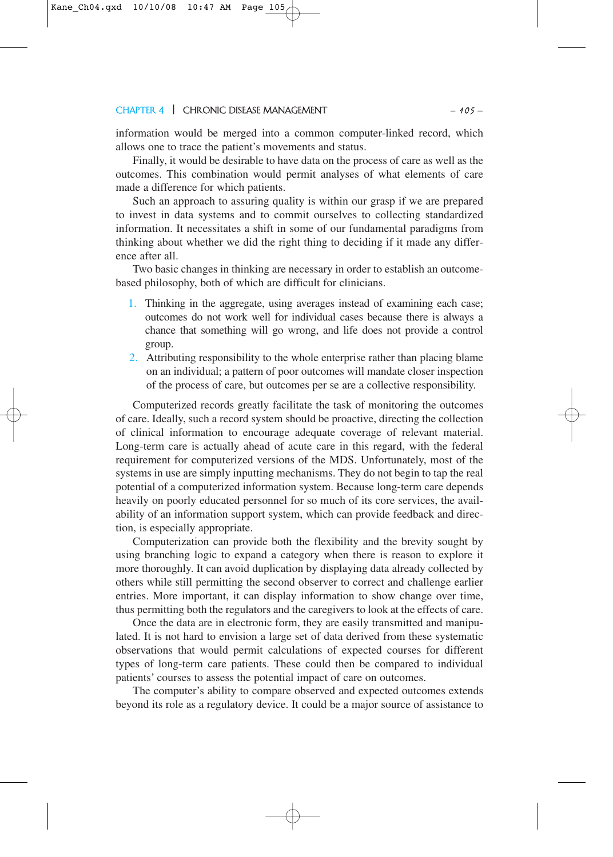#### CHAPTER 4 CHRONIC DISEASE MANAGEMENT *– 105* –

information would be merged into a common computer-linked record, which allows one to trace the patient's movements and status.

Finally, it would be desirable to have data on the process of care as well as the outcomes. This combination would permit analyses of what elements of care made a difference for which patients.

Such an approach to assuring quality is within our grasp if we are prepared to invest in data systems and to commit ourselves to collecting standardized information. It necessitates a shift in some of our fundamental paradigms from thinking about whether we did the right thing to deciding if it made any difference after all.

Two basic changes in thinking are necessary in order to establish an outcomebased philosophy, both of which are difficult for clinicians.

- 1. Thinking in the aggregate, using averages instead of examining each case; outcomes do not work well for individual cases because there is always a chance that something will go wrong, and life does not provide a control group.
- 2. Attributing responsibility to the whole enterprise rather than placing blame on an individual; a pattern of poor outcomes will mandate closer inspection of the process of care, but outcomes per se are a collective responsibility.

Computerized records greatly facilitate the task of monitoring the outcomes of care. Ideally, such a record system should be proactive, directing the collection of clinical information to encourage adequate coverage of relevant material. Long-term care is actually ahead of acute care in this regard, with the federal requirement for computerized versions of the MDS. Unfortunately, most of the systems in use are simply inputting mechanisms. They do not begin to tap the real potential of a computerized information system. Because long-term care depends heavily on poorly educated personnel for so much of its core services, the availability of an information support system, which can provide feedback and direction, is especially appropriate.

Computerization can provide both the flexibility and the brevity sought by using branching logic to expand a category when there is reason to explore it more thoroughly. It can avoid duplication by displaying data already collected by others while still permitting the second observer to correct and challenge earlier entries. More important, it can display information to show change over time, thus permitting both the regulators and the caregivers to look at the effects of care.

Once the data are in electronic form, they are easily transmitted and manipulated. It is not hard to envision a large set of data derived from these systematic observations that would permit calculations of expected courses for different types of long-term care patients. These could then be compared to individual patients' courses to assess the potential impact of care on outcomes.

The computer's ability to compare observed and expected outcomes extends beyond its role as a regulatory device. It could be a major source of assistance to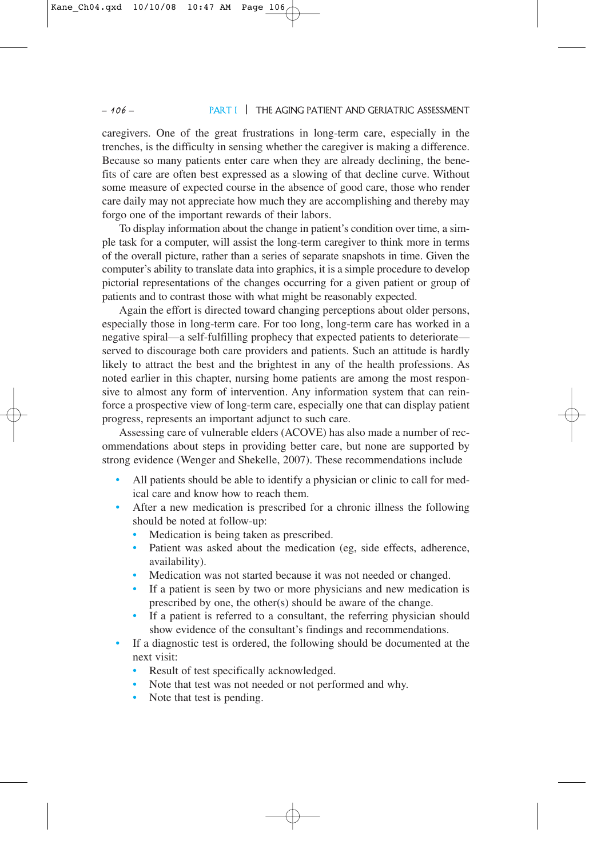# - 106 - PART I THE AGING PATIENT AND GERIATRIC ASSESSMENT

caregivers. One of the great frustrations in long-term care, especially in the trenches, is the difficulty in sensing whether the caregiver is making a difference. Because so many patients enter care when they are already declining, the benefits of care are often best expressed as a slowing of that decline curve. Without some measure of expected course in the absence of good care, those who render care daily may not appreciate how much they are accomplishing and thereby may forgo one of the important rewards of their labors.

To display information about the change in patient's condition over time, a simple task for a computer, will assist the long-term caregiver to think more in terms of the overall picture, rather than a series of separate snapshots in time. Given the computer's ability to translate data into graphics, it is a simple procedure to develop pictorial representations of the changes occurring for a given patient or group of patients and to contrast those with what might be reasonably expected.

Again the effort is directed toward changing perceptions about older persons, especially those in long-term care. For too long, long-term care has worked in a negative spiral—a self-fulfilling prophecy that expected patients to deteriorate served to discourage both care providers and patients. Such an attitude is hardly likely to attract the best and the brightest in any of the health professions. As noted earlier in this chapter, nursing home patients are among the most responsive to almost any form of intervention. Any information system that can reinforce a prospective view of long-term care, especially one that can display patient progress, represents an important adjunct to such care.

Assessing care of vulnerable elders (ACOVE) has also made a number of recommendations about steps in providing better care, but none are supported by strong evidence (Wenger and Shekelle, 2007). These recommendations include

- All patients should be able to identify a physician or clinic to call for medical care and know how to reach them.
- After a new medication is prescribed for a chronic illness the following should be noted at follow-up:
	- Medication is being taken as prescribed.
	- Patient was asked about the medication (eg, side effects, adherence, availability).
	- Medication was not started because it was not needed or changed.
	- If a patient is seen by two or more physicians and new medication is prescribed by one, the other(s) should be aware of the change.
	- If a patient is referred to a consultant, the referring physician should show evidence of the consultant's findings and recommendations.
- If a diagnostic test is ordered, the following should be documented at the next visit:
	- Result of test specifically acknowledged.
	- Note that test was not needed or not performed and why.
	- Note that test is pending.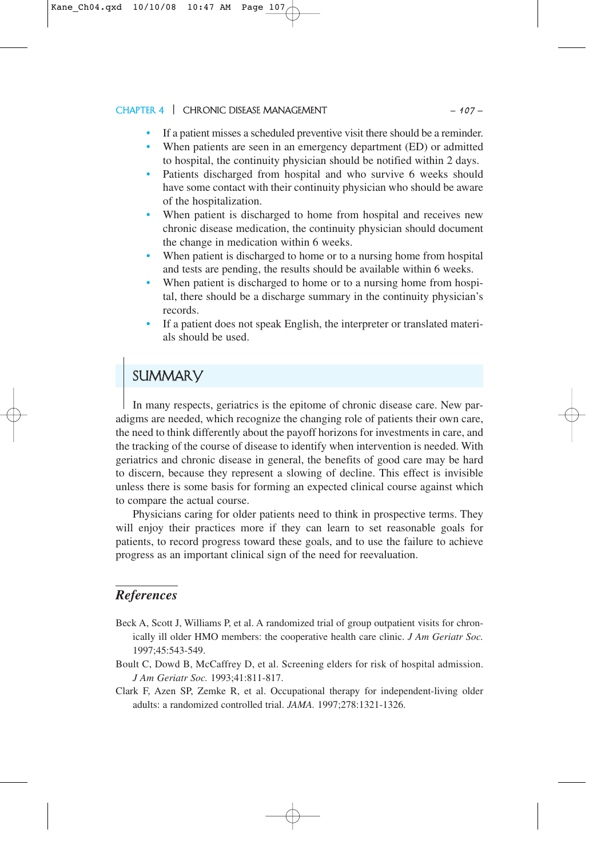#### CHAPTER 4 CHRONIC DISEASE MANAGEMENT *– 107 –*

- If a patient misses a scheduled preventive visit there should be a reminder.
- When patients are seen in an emergency department (ED) or admitted to hospital, the continuity physician should be notified within 2 days.
- Patients discharged from hospital and who survive 6 weeks should have some contact with their continuity physician who should be aware of the hospitalization.
- When patient is discharged to home from hospital and receives new chronic disease medication, the continuity physician should document the change in medication within 6 weeks.
- When patient is discharged to home or to a nursing home from hospital and tests are pending, the results should be available within 6 weeks.
- When patient is discharged to home or to a nursing home from hospital, there should be a discharge summary in the continuity physician's records.
- If a patient does not speak English, the interpreter or translated materials should be used.

# **SUMMARY**

In many respects, geriatrics is the epitome of chronic disease care. New paradigms are needed, which recognize the changing role of patients their own care, the need to think differently about the payoff horizons for investments in care, and the tracking of the course of disease to identify when intervention is needed. With geriatrics and chronic disease in general, the benefits of good care may be hard to discern, because they represent a slowing of decline. This effect is invisible unless there is some basis for forming an expected clinical course against which to compare the actual course.

Physicians caring for older patients need to think in prospective terms. They will enjoy their practices more if they can learn to set reasonable goals for patients, to record progress toward these goals, and to use the failure to achieve progress as an important clinical sign of the need for reevaluation.

# *References*

- Beck A, Scott J, Williams P, et al. A randomized trial of group outpatient visits for chronically ill older HMO members: the cooperative health care clinic. *J Am Geriatr Soc.* 1997;45:543-549.
- Boult C, Dowd B, McCaffrey D, et al. Screening elders for risk of hospital admission. *J Am Geriatr Soc.* 1993;41:811-817.
- Clark F, Azen SP, Zemke R, et al. Occupational therapy for independent-living older adults: a randomized controlled trial. *JAMA.* 1997;278:1321-1326.